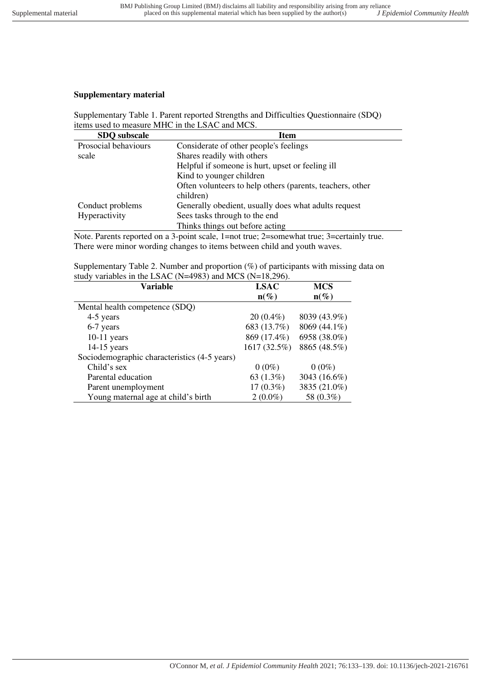# **Supplementary material**

Supplementary Table 1. Parent reported Strengths and Difficulties Questionnaire (SDQ) items used to measure MHC in the LSAC and MCS.

| <b>Item</b>                                               |
|-----------------------------------------------------------|
| Considerate of other people's feelings                    |
| Shares readily with others                                |
| Helpful if someone is hurt, upset or feeling ill          |
| Kind to younger children                                  |
| Often volunteers to help others (parents, teachers, other |
| children)                                                 |
| Generally obedient, usually does what adults request      |
| Sees tasks through to the end                             |
| Thinks things out before acting                           |
|                                                           |

Note. Parents reported on a 3-point scale, 1=not true; 2=somewhat true; 3=certainly true. There were minor wording changes to items between child and youth waves.

Supplementary Table 2. Number and proportion (%) of participants with missing data on study variables in the LSAC (N=4983) and MCS (N=18,296).

| Variable                                     | <b>LSAC</b>  | <b>MCS</b>   |
|----------------------------------------------|--------------|--------------|
|                                              | $n(\%)$      | $n(\%)$      |
| Mental health competence (SDQ)               |              |              |
| 4-5 years                                    | $20(0.4\%)$  | 8039 (43.9%) |
| 6-7 years                                    | 683 (13.7%)  | 8069 (44.1%) |
| $10-11$ years                                | 869 (17.4%)  | 6958 (38.0%) |
| $14-15$ years                                | 1617 (32.5%) | 8865 (48.5%) |
| Sociodemographic characteristics (4-5 years) |              |              |
| Child's sex                                  | $0(0\%)$     | $0(0\%)$     |
| Parental education                           | 63 $(1.3\%)$ | 3043 (16.6%) |
| Parent unemployment                          | $17(0.3\%)$  | 3835 (21.0%) |
| Young maternal age at child's birth          | $2(0.0\%)$   | 58 (0.3%)    |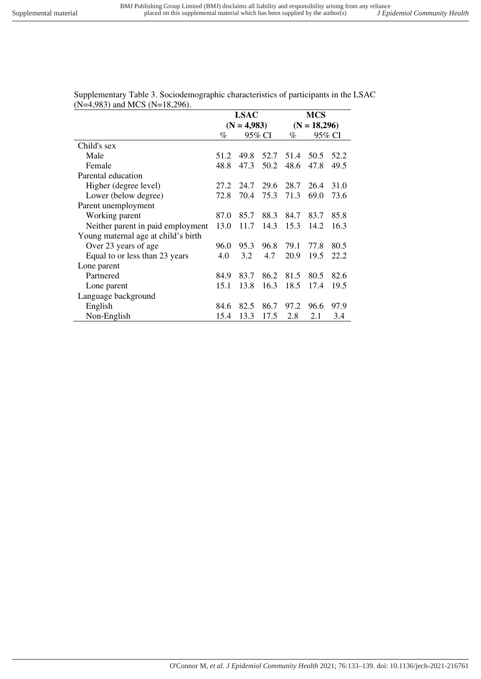|                                     |      | <b>LSAC</b>   |        | <b>MCS</b> |                |        |  |
|-------------------------------------|------|---------------|--------|------------|----------------|--------|--|
|                                     |      | $(N = 4,983)$ |        |            | $(N = 18,296)$ |        |  |
|                                     | %    |               | 95% CI | %          |                | 95% CI |  |
| Child's sex                         |      |               |        |            |                |        |  |
| Male                                | 51.2 | 49.8          | 52.7   | 51.4       | 50.5           | 52.2   |  |
| Female                              | 48.8 | 47.3          | 50.2   | 48.6       | 47.8           | 49.5   |  |
| Parental education                  |      |               |        |            |                |        |  |
| Higher (degree level)               | 27.2 | 24.7          | 29.6   | 28.7       | 26.4           | 31.0   |  |
| Lower (below degree)                | 72.8 | 70.4          | 75.3   | 71.3       | 69.0           | 73.6   |  |
| Parent unemployment                 |      |               |        |            |                |        |  |
| Working parent                      | 87.0 | 85.7          | 88.3   | 84.7       | 83.7           | 85.8   |  |
| Neither parent in paid employment   | 13.0 | 11.7          | 14.3   | 15.3       | 14.2           | 16.3   |  |
| Young maternal age at child's birth |      |               |        |            |                |        |  |
| Over 23 years of age                | 96.0 | 95.3          | 96.8   | 79.1       | 77.8           | 80.5   |  |
| Equal to or less than 23 years      | 4.0  | 3.2           | 4.7    | 20.9       | 19.5           | 22.2   |  |
| Lone parent                         |      |               |        |            |                |        |  |
| Partnered                           | 84.9 | 83.7          | 86.2   | 81.5       | 80.5           | 82.6   |  |
| Lone parent                         | 15.1 | 13.8          | 16.3   | 18.5       | 17.4           | 19.5   |  |
| Language background                 |      |               |        |            |                |        |  |
| English                             | 84.6 | 82.5          | 86.7   | 97.2       | 96.6           | 97.9   |  |
| Non-English                         | 15.4 | 13.3          | 17.5   | 2.8        | 2.1            | 3.4    |  |

Supplementary Table 3. Sociodemographic characteristics of participants in the LSAC (N=4,983) and MCS (N=18,296).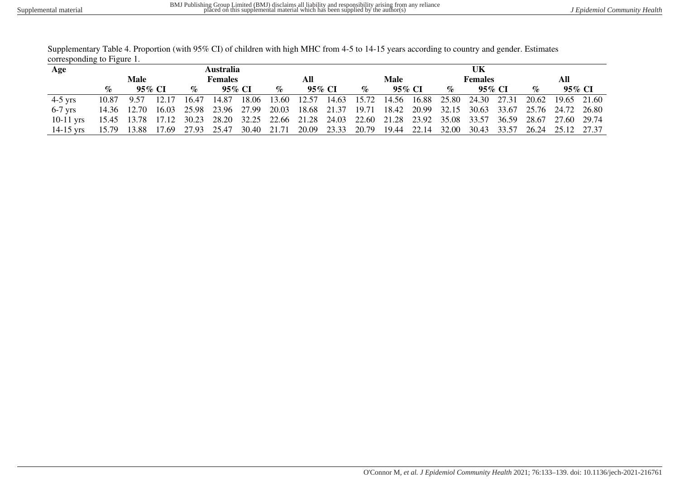| Supplementary Table 4. Proportion (with 95% CI) of children with high MHC from 4-5 to 14-15 years according to country and gender. Estimates |  |
|----------------------------------------------------------------------------------------------------------------------------------------------|--|
| corresponding to Figure 1.                                                                                                                   |  |

| Age         |                              |  |                                                                                                             | <b>Australia</b> |     |      |        |      | UK             |  |                                       |  |  |     |  |  |  |
|-------------|------------------------------|--|-------------------------------------------------------------------------------------------------------------|------------------|-----|------|--------|------|----------------|--|---------------------------------------|--|--|-----|--|--|--|
|             | Male<br><b>Females</b>       |  |                                                                                                             |                  | All |      |        | Male |                |  | <b>Females</b>                        |  |  | All |  |  |  |
|             | 95\% $CI$<br>95\% CI<br>$\%$ |  | $\mathcal{O}_{\mathcal{O}}$                                                                                 | 95% CI           |     | $\%$ | 95% CI |      | 95% CI<br>$\%$ |  | 95% CI<br>$\mathcal{O}_{\mathcal{O}}$ |  |  |     |  |  |  |
| $4-5$ yrs   | 10.87 9.57 12.17             |  | 16.47 14.87 18.06 13.60 12.57 14.63 15.72 14.56 16.88 25.80 24.30 27.31 20.62 19.65 21.60                   |                  |     |      |        |      |                |  |                                       |  |  |     |  |  |  |
| $6-7$ yrs   |                              |  | 14.36 12.70 16.03 25.98 23.96 27.99 20.03 18.68 21.37 19.71 18.42 20.99 32.15 30.63 33.67 25.76 24.72 26.80 |                  |     |      |        |      |                |  |                                       |  |  |     |  |  |  |
| $10-11$ vrs |                              |  | 15.45 13.78 17.12 30.23 28.20 32.25 22.66 21.28 24.03 22.60 21.28 23.92 35.08 33.57 36.59 28.67 27.60 29.74 |                  |     |      |        |      |                |  |                                       |  |  |     |  |  |  |
| $14-15$ vrs |                              |  | 15.79 13.88 17.69 27.93 25.47 30.40 21.71 20.09 23.33 20.79 19.44 22.14 32.00 30.43 33.57 26.24 25.12 27.37 |                  |     |      |        |      |                |  |                                       |  |  |     |  |  |  |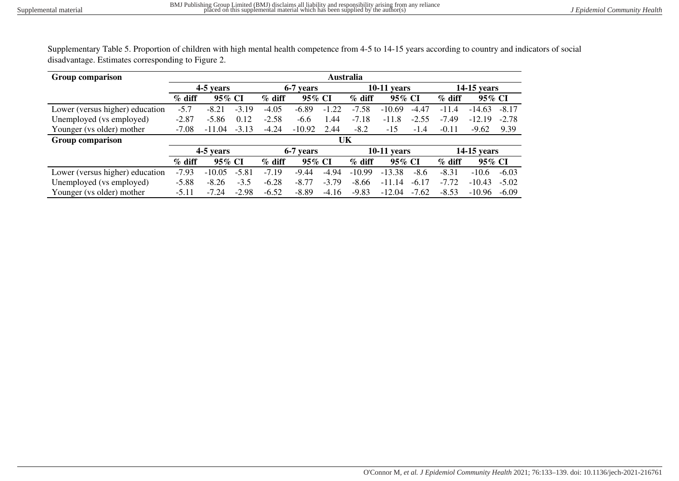Supplementary Table 5. Proportion of children with high mental health competence from 4-5 to 14-15 years according to country and indicators of social disadvantage. Estimates corresponding to Figure 2.

| Group comparison                | <b>Australia</b>   |           |          |          |           |                     |                    |               |          |             |          |         |
|---------------------------------|--------------------|-----------|----------|----------|-----------|---------------------|--------------------|---------------|----------|-------------|----------|---------|
|                                 |                    | 4-5 years |          |          | 6-7 years |                     |                    | $10-11$ years |          | 14-15 years |          |         |
|                                 | $%$ diff           | 95% CI    |          | $%$ diff | 95% CI    |                     | 95% CI<br>$%$ diff |               |          | $%$ diff    | 95% CI   |         |
| Lower (versus higher) education | $-5.7$             | $-8.21$   | $-3.19$  | $-4.05$  | $-6.89$   | $-1.22$             | $-7.58$            | $-10.69$      | $-4.47$  | $-11.4$     | $-14.63$ | $-8.17$ |
| Unemployed (vs employed)        | $-2.87$            | $-5.86$   | 0.12     | $-2.58$  | $-6.6$    | 1.44                | $-7.18$            | $-11.8$       | $-2.55$  | $-7.49$     | $-12.19$ | $-2.78$ |
| Younger (vs older) mother       | $-7.08$            | $-11.04$  | $-3.13$  | $-4.24$  | $-10.92$  | 2.44                | $-8.2$             | $-15$         | $-1.4$   | $-0.11$     | $-9.62$  | 9.39    |
| Group comparison                |                    |           |          |          |           |                     |                    |               |          |             |          |         |
|                                 |                    | 4-5 years |          |          | 6-7 years |                     |                    | $10-11$ years |          | 14-15 years |          |         |
|                                 | 95% CI<br>$%$ diff |           | $%$ diff | 95% CI   |           | 95% CI<br>$\%$ diff |                    |               | $%$ diff | 95% CI      |          |         |
| Lower (versus higher) education | $-7.93$            | $-10.05$  | $-5.81$  | $-7.19$  | $-9.44$   | $-4.94$             | $-10.99$           | $-13.38$      | $-8.6$   | $-8.31$     | $-10.6$  | $-6.03$ |
| Unemployed (vs employed)        | $-5.88$            | $-8.26$   | $-3.5$   | $-6.28$  | $-8.77$   | $-3.79$             | $-8.66$            | $-11.14$      | $-6.17$  | $-7.72$     | $-10.43$ | $-5.02$ |
| Younger (vs older) mother       | $-5.11$            | $-7.24$   | $-2.98$  | $-6.52$  | $-8.89$   | $-4.16$             | $-9.83$            | $-12.04$      | $-7.62$  | $-8.53$     | $-10.96$ | $-6.09$ |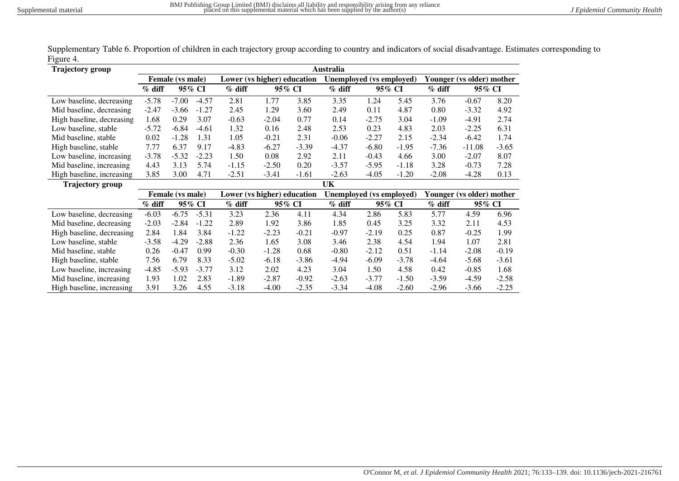| <b>Trajectory group</b>   | Australia |                    |         |                             |         |          |                          |         |          |                           |          |         |  |
|---------------------------|-----------|--------------------|---------|-----------------------------|---------|----------|--------------------------|---------|----------|---------------------------|----------|---------|--|
|                           |           | Female (vs male)   |         | Lower (vs higher) education |         |          | Unemployed (vs employed) |         |          | Younger (vs older) mother |          |         |  |
|                           | $%$ diff  |                    | 95% CI  | $%$ diff<br>95% CI          |         | $%$ diff | 95% CI                   |         | $%$ diff | 95% CI                    |          |         |  |
| Low baseline, decreasing  | $-5.78$   | $-7.00$            | $-4.57$ | 2.81                        | 1.77    | 3.85     | 3.35                     | 1.24    | 5.45     | 3.76                      | $-0.67$  | 8.20    |  |
| Mid baseline, decreasing  | $-2.47$   | $-3.66$            | $-1.27$ | 2.45                        | 1.29    | 3.60     | 2.49                     | 0.11    | 4.87     | 0.80                      | $-3.32$  | 4.92    |  |
| High baseline, decreasing | 1.68      | 0.29               | 3.07    | $-0.63$                     | $-2.04$ | 0.77     | 0.14                     | $-2.75$ | 3.04     | $-1.09$                   | $-4.91$  | 2.74    |  |
| Low baseline, stable      | $-5.72$   | -6.84              | $-4.61$ | 1.32                        | 0.16    | 2.48     | 2.53                     | 0.23    | 4.83     | 2.03                      | $-2.25$  | 6.31    |  |
| Mid baseline, stable      | 0.02      | $-1.28$<br>1.31    |         | 1.05                        | $-0.21$ | 2.31     | $-0.06$                  | $-2.27$ | 2.15     | $-2.34$                   | $-6.42$  | 1.74    |  |
| High baseline, stable     | 7.77      | 6.37<br>9.17       |         | $-4.83$                     | $-6.27$ | $-3.39$  | $-4.37$                  | $-6.80$ | $-1.95$  | $-7.36$                   | $-11.08$ | $-3.65$ |  |
| Low baseline, increasing  | $-3.78$   | $-5.32$<br>$-2.23$ |         | 1.50                        | 0.08    | 2.92     | 2.11                     | $-0.43$ | 4.66     | 3.00                      | $-2.07$  | 8.07    |  |
| Mid baseline, increasing  | 4.43      | 5.74<br>3.13       |         | $-1.15$                     | $-2.50$ | 0.20     | $-3.57$                  | $-5.95$ | $-1.18$  | 3.28                      | $-0.73$  | 7.28    |  |
| High baseline, increasing | 3.85      | 3.00               | 4.71    | $-2.51$                     | $-3.41$ | $-1.61$  | $-2.63$                  | $-4.05$ | $-1.20$  | $-2.08$                   | $-4.28$  | 0.13    |  |
| <b>Trajectory</b> group   |           | UK                 |         |                             |         |          |                          |         |          |                           |          |         |  |
|                           |           | Female (vs male)   |         | Lower (vs higher) education |         |          | Unemployed (vs employed) |         |          | Younger (vs older) mother |          |         |  |
|                           | $%$ diff  |                    | 95% CI  | $%$ diff                    | 95% CI  |          |                          |         | 95% CI   | $%$ diff<br>95% CI        |          |         |  |
| Low baseline, decreasing  | $-6.03$   | $-6.75$            | $-5.31$ | 3.23                        | 2.36    | 4.11     | 4.34                     | 2.86    | 5.83     | 5.77                      | 4.59     | 6.96    |  |
| Mid baseline, decreasing  | $-2.03$   | $-2.84$            | $-1.22$ | 2.89                        | 1.92    | 3.86     | 1.85                     | 0.45    | 3.25     | 3.32                      | 2.11     | 4.53    |  |
| High baseline, decreasing | 2.84      | 1.84               | 3.84    | $-1.22$                     | $-2.23$ | $-0.21$  | $-0.97$                  | $-2.19$ | 0.25     | 0.87                      | $-0.25$  | 1.99    |  |
| Low baseline, stable      | $-3.58$   | $-4.29$            | $-2.88$ | 2.36                        | 1.65    | 3.08     | 3.46                     | 2.38    | 4.54     | 1.94                      | 1.07     | 2.81    |  |
| Mid baseline, stable      | 0.26      | $-0.47$            | 0.99    | $-0.30$                     | $-1.28$ | 0.68     | $-0.80$                  | $-2.12$ | 0.51     | $-1.14$                   | $-2.08$  | $-0.19$ |  |
| High baseline, stable     | 7.56      | 6.79               | 8.33    | $-5.02$                     | $-6.18$ | $-3.86$  | $-4.94$                  | $-6.09$ | $-3.78$  | $-4.64$                   | $-5.68$  | $-3.61$ |  |
| Low baseline, increasing  | $-4.85$   | $-5.93$            | $-3.77$ | 3.12                        | 2.02    | 4.23     | 3.04                     | 1.50    | 4.58     | 0.42                      | $-0.85$  | 1.68    |  |
| Mid baseline, increasing  | 1.93      | 1.02               | 2.83    | $-1.89$                     | $-2.87$ | $-0.92$  | $-2.63$                  | $-3.77$ | $-1.50$  | $-3.59$                   | $-4.59$  | $-2.58$ |  |
| High baseline, increasing | 3.91      | 3.26               | 4.55    | $-3.18$                     | $-4.00$ | $-2.35$  | $-3.34$                  | -4.08   | $-2.60$  | $-2.96$                   | $-3.66$  | $-2.25$ |  |

Supplementary Table 6. Proportion of children in each trajectory group according to country and indicators of social disadvantage. Estimates corresponding to Figure 4.  $\overline{\phantom{0}}$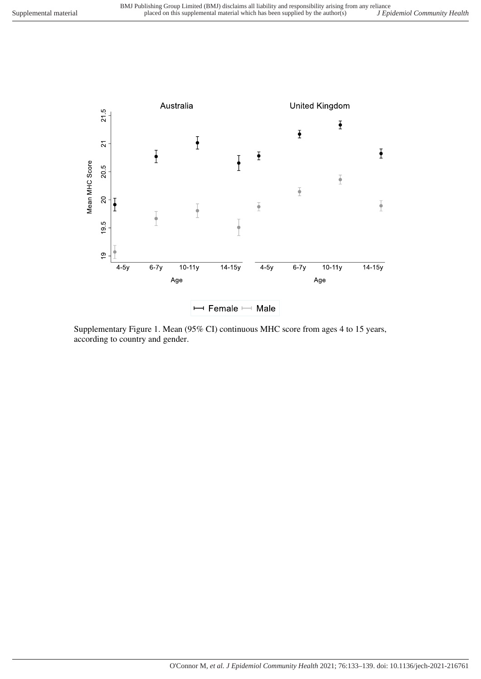

Supplementary Figure 1. Mean (95% CI) continuous MHC score from ages 4 to 15 years, according to country and gender.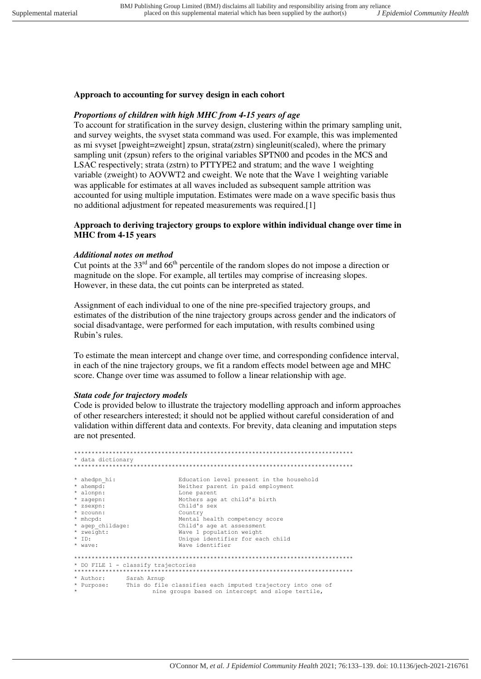### **Approach to accounting for survey design in each cohort**

### *Proportions of children with high MHC from 4-15 years of age*

To account for stratification in the survey design, clustering within the primary sampling unit, and survey weights, the svyset stata command was used. For example, this was implemented as mi svyset [pweight=zweight] zpsun, strata(zstrn) singleunit(scaled), where the primary sampling unit (zpsun) refers to the original variables SPTN00 and pcodes in the MCS and LSAC respectively; strata (zstrn) to PTTYPE2 and stratum; and the wave 1 weighting variable (zweight) to AOVWT2 and cweight. We note that the Wave 1 weighting variable was applicable for estimates at all waves included as subsequent sample attrition was accounted for using multiple imputation. Estimates were made on a wave specific basis thus no additional adjustment for repeated measurements was required.[1]

## **Approach to deriving trajectory groups to explore within individual change over time in MHC from 4-15 years**

#### *Additional notes on method*

Cut points at the  $33<sup>rd</sup>$  and 66<sup>th</sup> percentile of the random slopes do not impose a direction or magnitude on the slope. For example, all tertiles may comprise of increasing slopes. However, in these data, the cut points can be interpreted as stated.

Assignment of each individual to one of the nine pre-specified trajectory groups, and estimates of the distribution of the nine trajectory groups across gender and the indicators of social disadvantage, were performed for each imputation, with results combined using Rubin's rules.

To estimate the mean intercept and change over time, and corresponding confidence interval, in each of the nine trajectory groups, we fit a random effects model between age and MHC score. Change over time was assumed to follow a linear relationship with age.

#### *Stata code for trajectory models*

Code is provided below to illustrate the trajectory modelling approach and inform approaches of other researchers interested; it should not be applied without careful consideration of and validation within different data and contexts. For brevity, data cleaning and imputation steps are not presented.

```
********************************************************************************
* data dictionary
********************************************************************************
* ahedpn_hi: Education level present in the household<br>* ahempd: Neither parent in paid employment
* ahempd: <br> \frac{1}{1} Neither parent in paid employment<br> \frac{1}{1} Lone parent
* alonpn: Lone parent
* zagepn: Mothers age at child's birth<br>* zagepn: Mothers age at child's birth<br>* zsexpn: Child's sex
* zsexpn: Child's sex 
* zcounn: Country
* mhcpd: Mental health competency score 
* agep_childage: Child's age at assessment
* zweight: Wave 1 population weight
* Ionian in the Unique identifier for each child<br>* ID: Unique identifier for each child<br>* wave: Wave identifier
                               Wave identifier
********************************************************************************
* DO FILE 1 - classify trajectories
********************************************************************************
* Author: Sarah Arnup 
            This do file classifies each imputed trajectory into one of
                       nine groups based on intercept and slope tertile.
```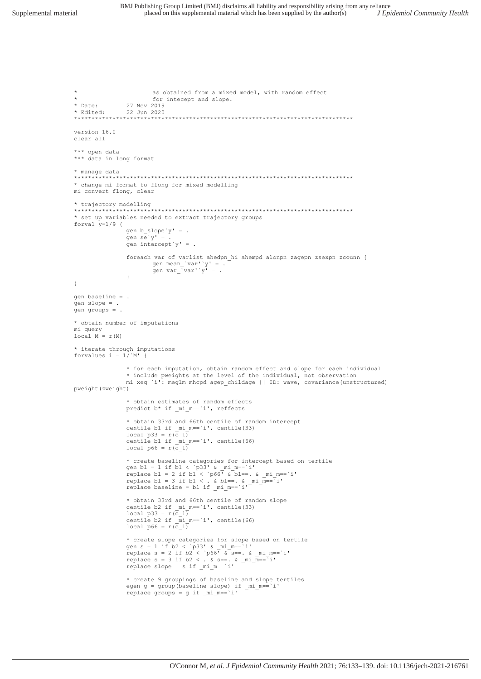```
as obtained from a mixed model, with random effect
                          for intecept and slope.
* Date:
                 27 Nov 2019
              \frac{27}{22} Jun 2020
* Rdited.
             *********************
version 16.0
clear all
*** open data
*** data in long format
* manage data
               * change mi format to flong for mixed modelling
mi convert flong, clear
* trajectory modelling
                          * set up variables needed to extract trajectory groups
forval y=1/9 {
                 gen b slope'y' = .
                 gen se^{y}.
                 gen intercept y' =.
                 foreach var of varlist ahedpn hi ahempd alonpn zagepn zsexpn zcounn {
                          gen mean var''y' = .<br>gen var var''y' = .
                 \rightarrow\rightarrowgen baseline = .gen slope =
gen groups =.
* obtain number of imputations
mi query
local M = r(M)* iterate through imputations<br>forvalues i = 1/`M' {
                 * for each imputation, obtain random effect and slope for each individual
                 * include pweights at the level of the individual, not observation
                 mi xeq 'i': meglm mhcpd agep_childage || ID: wave, covariance(unstructured)
pweight (zweight)
                 * obtain estimates of random effects
                 predict b* if _mi_m == `i', reffects
                 * obtain 33rd and 66th centile of random intercept
                 centile b1 if mi m=='i', centile (33)
                 local p33 = r(c_1)<br>centile b1 if \text{min} = i, centile (66)
                 local p66 = r(\bar{c} 1)* create baseline categories for intercept based on tertile
                 cross-contractor calculation in the set of the set of the set of the set of the set of the set of the set of the set of the set of the set of the set of the set of the set of the set of the set of the set of the set of th
                 * obtain 33rd and 66th centile of random slope
                 centile b2 if mi m=='i', centile(33)
                 local p33 = r(c_1)<br>centile b2 if \text{min} = i, centile (66)
                 local p66 = r(\overline{c} 1)* create slope categories for slope based on tertile<br>gen s = 1 if b2 < 'p33' & _mi_m=='i'<br>replace s = 2 if b2 < 'p66' & s==. & _mi_m=='i'<br>replace s = 3 if b2 < . & s==. & _mi_m=='i'
                 replace slope = s if _m = i'* create 9 groupings of baseline and slope tertiles
                 egen g = group(baseline slope) if mi_m == i'replace groups = g if mi_m == i'
```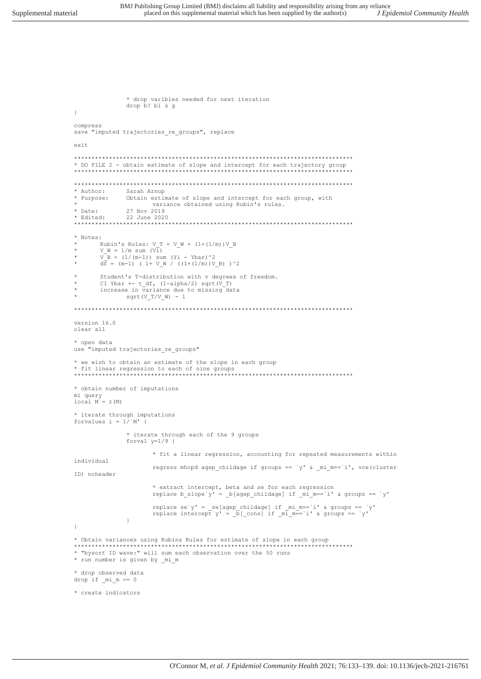\* drop varibles needed for next iteration

```
drop b? bl s g
\}compress
save "imputed trajectories_re_groups", replace
exit
* DO FILE 2 - obtain estimate of slope and intercept for each trajectory group
Sarah Arnup<br>Obtain estimate of slope and intercept for each group, with
* Author:
* Purpose:
                        variance obtained using Rubin's rules.
             vari<br>27 Nov 2019<br>22 - سببر 22
* Date:
* Edited:
               22 June 2020
00110 22 00110 2<br>************************
                               * Notes:
        Rubin's Rules: V T = V W + (1+(1/m))V BV = 1/m sum (Vi)<br>
V = 1/m sum (Vi)<br>
V = 1/(m-1) sum (Yi - Ybar) ^2<br>
d\vec{f} = (m-1) (1 + V_M / ((1+(1/m))V_B) ) ^2Student's T-distribution with v degrees of freedom.<br>CI Ybar +- t_df, (1-alpha/2) sqrt(V_T)
        increase in variance due to missing data
              sqrt(V_T/V_W) - 1version 16.0
clear all
* open data
use "imputed trajectories re groups"
  we wish to obtain an estimate of the slope in each group
* we wish to obtain an estimate of the sample of the sample of the state of the state of the state of the state of the state of the state of the state of the state of the state of the state of the state of the state of the
                                                    ********************************
* obtain number of imputations
mi query
\begin{aligned} &\texttt{local} \texttt{M}^{\prime} = \texttt{r} \texttt{(M)} \end{aligned}* iterate through imputations
forvalues i = 1/N!* iterate through each of the 9 groups
                forval y=1/9 {
                        * fit a linear regression, accounting for repeated measurements within
individual
                        regress mhcpd agep childage if groups == \dot{y}' & mi m== \dot{1}', vce(cluster
ID) noheader
                        * extract intercept, beta and se for each regression
                        replace b_slope y' = b [agep_childage] if _mi_m == 'i' & groups == 'y'
                        replace se'y' = _se[agep_childage] if _mi_m=='i' & groups == 'y'
                        replace intercept y' = [b[\cosh 1 \text{ if } m\bar{1}]m\bar{1}^2 - \bar{1}^T \text{ is groups } = y'\lambda\rightarrow* Obtain variances using Rubins Rules for estimate of slope in each group
* "bysort ID wave:" will sum each observation over the 50 runs
* run number is given by _mi_m
* drop observed data
drop if min = 0* create indicators
```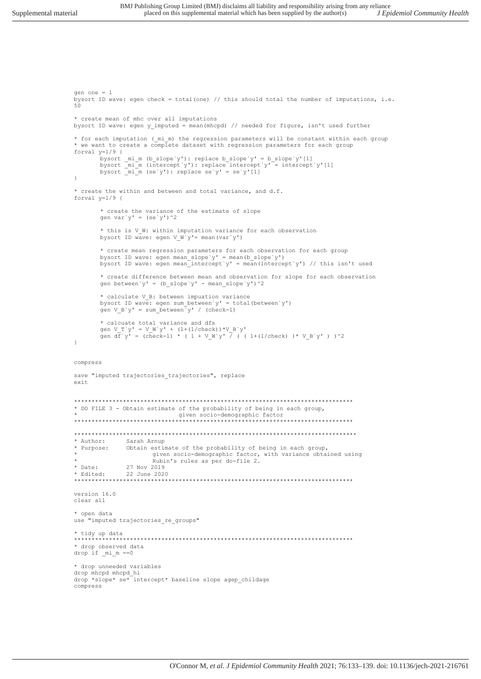```
gen one = 1 
bysort ID wave: egen check = total(one) // this should total the number of imputations, i.e. 
50
* create mean of mhc over all imputations
bysort ID wave: egen y_imputed = mean(mhcpd) // needed for figure, isn't used further
* for each imputation (_mi_m) the regression parameters will be constant within each group
* we want to create a complete dataset with regression parameters for each group
forval y=1/9 {
        bysort _mi_m (b_slope`y'): replace b_slope`y' = b_slope`y'[1]
        bysort _mi_m (intercept`y'): replace intercept`y' = intercept`y'[1]
       bysort \text{min} (se`y'): replace se`y' = se`y'[1]
} 
* create the within and between and total variance, and d.f.
forval y=1/9 {
       * create the variance of the estimate of slope
       qen var'y' = (se'y')^2* this is V W: within imputation variance for each observation
       bysort ID wave: egen V \overline{W}'y'= mean(var`y')
       * create mean regression parameters for each observation for each group
       bysort ID wave: egen mean slope`y' = mean(b slope`y')
       bysort ID wave: egen mean_intercept`y' = mean (intercept`y') // this isn't used
        * create difference between mean and observation for slope for each observation
        gen between`y' = (b_slope`y' - mean_slope`y')^2
       * calculate V_B: between impuation variance 
       bysort ID wave: egen sum between`y' = total(between`y')
       gen V B`y' = sum between<sup>\bar{y}'</sup> / (check-1)
       * calcuate total variance and dfs
        gen V_T`y' = V_W`y' + (1+(1/check))*V_B`y'
        gen df`y' = (check-1) * ( 1 + V_W`y' / ( ( 1 + (1/\text{check}) )* V_B`y' ) )^2
} 
compress
save "imputed trajectories_trajectories", replace
exit
********************************************************************************
* DO FILE 3 - Obtain estimate of the probability of being in each group, 
* given socio-demographic factor
********************************************************************************
*********************************************************************************
* Author: Sarah Arnup 
              Obtain estimate of the probability of being in each group,
                       given socio-demographic factor, with variance obtained using
* Rubin's rules as per do-file 2.
* Date: 27 Nov 2019
* Edited: 22 June 2020
         ********************************************************************************
version 16.0 
clear all
* open data
use "imputed trajectories_re_groups"
* tidy up data
                    ********************************************************************************
* drop observed data 
drop if _mi_m ==0
* drop unneeded variables
drop mhcpd mhcpd_hi
drop *slope* se* intercept* baseline slope agep_childage
compress
```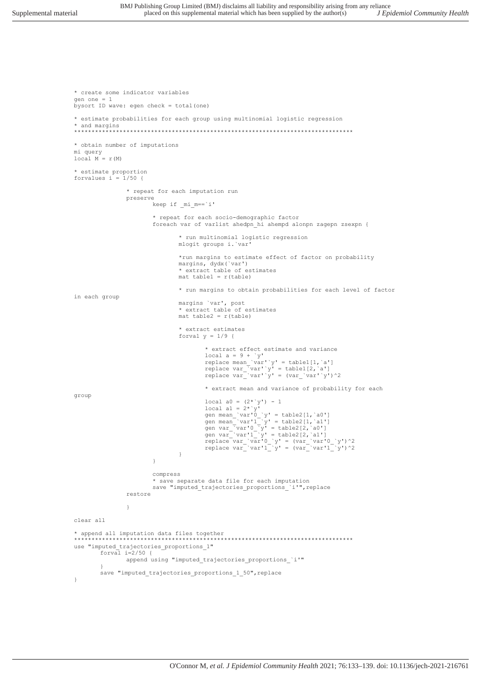```
* create some indicator variables
gen one = 1 
bysort ID wave: egen check = total(one)
* estimate probabilities for each group using multinomial logistic regression 
* and margins
********************************************************************************
* obtain number of imputations
mi query
local M = r(M)* estimate proportion
forvalues i = 1/50 {
             * repeat for each imputation run
             preserve
                    keep if _mi_m==`i'
                    * repeat for each socio-demographic factor
                    foreach var of varlist ahedpn_hi ahempd alonpn zagepn zsexpn {
                          * run multinomial logistic regression 
                          mlogit groups i.`var'
                          *run margins to estimate effect of factor on probability
 margins, dydx(`var') 
 * extract table of estimates
                         mat table1 = r(table) * run margins to obtain probabilities for each level of factor 
in each group
                          margins `var', post
                         * extract table of estimates
                         mat table2 = r(table) * extract estimates
                         forval y = 1/9 {
* extract effect estimate and variance
\texttt{local a = 9 + 'y'} replace mean_`var'`y' = table1[1,`a']
 replace var_`var'`y' = table1[2,`a']
 replace var_`var'`y' = (var_`var'`y')^2
                                * extract mean and variance of probability for each 
group
                               local a0 = (2^{\star \, \cdot} y') - 1local al = 2^{\star} y'qen mean_`var'0_`y' = table2[1,`a0']
gen mean_'var'1_'y' = table2[1, `al']
gen var='var'] = table2[2, a0']
                                gen var_ivar_1' y' = table2[2, 2]replace var_'var'0_'y' = \frac{var}{var'} (var_'var'0_'y')^2
 replace var_`var'1_`y' = (var_`var'1_`y')^2
 } 
 } 
                    compress
 * save separate data file for each imputation
 save "imputed_trajectories_proportions_`i'",replace
             restore 
 } 
clear all 
* append all imputation data files together
                                       ********************************************************************************
use "imputed_trajectories_proportions_1"
      forval i=2/50 {
             append using "imputed_trajectories_proportions_`i'"
 } 
      save "imputed trajectories proportions 1 50", replace
}
```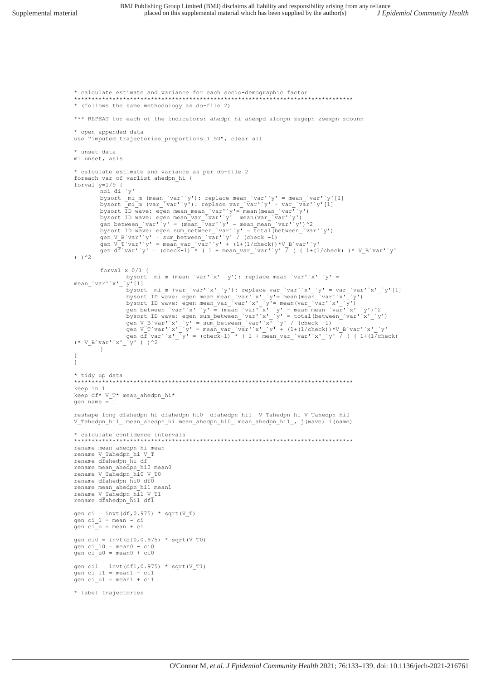```
Supplemental material
```
\* calculate estimate and variance for each socio-demographic factor \* (follows the same methodology as do-file 2) \*\*\* REPEAT for each of the indicators: ahedpn\_hi ahempd alonpn zagepn zsexpn zcounn \* open appended data use "imputed trajectories proportions 1 50", clear all \* unset data mi unset, asis \* calculate estimate and variance as per do-file 2 foreach var of varlist ahedpn\_hi { forval  $y=1/9$  { -<br>noi di `v' nol dl y<br>bysort \_mi\_m (mean\_'var''y'): replace mean\_'var''y' = mean\_'var''y'[1]<br>bysort \_mi\_m (var\_'var''y'): replace var\_'var''y' = var\_'var''y'[1]<br>bysort ID wave: egen mean\_mean\_'var''y'= mean(mean\_'var''y')<br>bysort ID wav gen between\_var' y' = (mean\_var' y' - mean\_mean\_var' y') z<br>bysort ID wave: egen sum\_between\_'var' y' = {ctal(between\_'var' y')<br>gen V\_B'var' y' = sum\_between\_'var' y' / (check -1)<br>gen V\_T'var' y' = mean\_var\_var' y' + (1+(1  $)$  ) ^2 forval  $x=0/1$  { bysort \_mi\_m (mean\_'var''x'\_'y'): replace mean\_'var''x'\_'y' = mean\_var'x'\_'y'[1]<br>
bysort\_mi\_m (var'x'\_'y'): replace war\_'var'x'\_'y' =<br>
bysort\_D wave: egen mean\_war'x'\_'y'= mean(mean\_var''x'\_'y')<br>
bysort ID wave: egen mean\_war''x'\_'y'= mean(mean\_var''x'\_'y')<br>
bysort ID wave: egen mea  $\Box$  $\overline{1}$ \* tidy up data \*\*\*\*\*\*\*\*\*\*\*\*\*\*\*\* keep in 1 keep df\* V\_T\* mean\_ahedpn\_hi\* gen name  $=1$ reshape long dfahedpn\_hi dfahedpn\_hi0\_ dfahedpn\_hi1\_ V\_Tahedpn\_hi V\_Tahedpn\_hi0\_ V Tahedpn hil mean ahedpn hi mean ahedpn hi0 mean ahedpn hi1, j(wave) i(name) \* calculate confidence intervals rename mean ahedpn hi mean rename V\_Tahedpn\_hi V\_T rename dfahedpn\_hi df rename mean\_ahedpn\_hi0 mean0<br>rename V\_Tahedpn\_hi0 V\_T0 rename  $d\bar{f}$ ahedpn\_ $\bar{h}$ i0  $d\bar{f}$ 0 rename mean\_ahedpn\_hil mean1 rename V Tahedpn hil V T1 rename dfahedpn hil dfl gen ci = invt (df, 0.975) \* sqrt (V\_T) qen ci  $1 = \text{mean} - \text{ci}$ gen ci\_u = mean + ci gen ci0 = invt(df0,0.975) \* sqrt(V\_T0) gen ci\_ $10 = \text{mean0} - \text{ci0}$ gen  $ci\_{u0} = mean0 + ci0$ gen cil = invt(df1,0.975) \* sqrt(V\_T1)<br>gen ci\_l1 = mean1 - cil<br>gen ci\_u1 = mean1 + cil \* label trajectories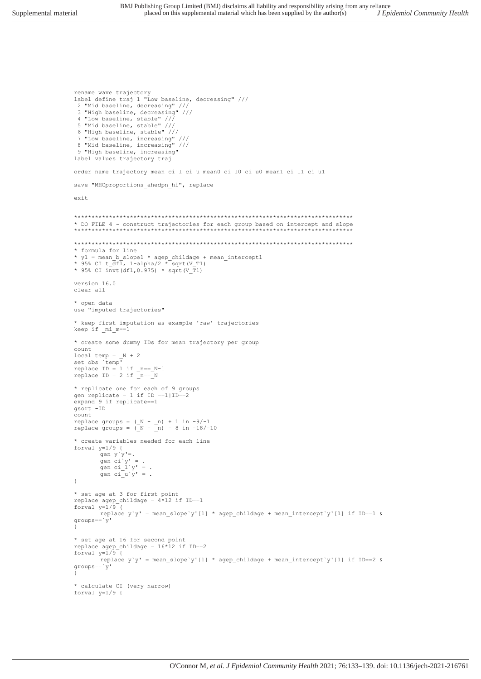```
3 "High baseline, decreasing" //<br>4 "Low baseline, stable" ///<br>5 "Mid baseline, stable" ///<br>6 "High baseline, stable" ///<br>7 "Low baseline, increasing" ///<br>8 "Mid baseline, increasing" ///
 9 "High baseline, increasing"
label values trajectory traj
order name trajectory mean ci_1 ci_u mean0 ci_10 ci_u0 mean1 ci_11 ci_u1
save "MHCproportions_ahedpn_hi", replace
exit* DO FILE 4 - construct trajectories for each group based on intercept and slope
* formula for line
v_1 = mean_b_slope1 * agep_childage + mean_intercept1<br>* y1 = mean_b_slope1 * agep_childage + mean_intercept1<br>* 95% CI t_df1, 1-alpha/2 * sqrt(V_T1)<br>* 95% CI invt(df1,0.975) * sqrt(V_T1)
version 16.0
clear all
* open data
use "imputed trajectories"
* keep first imputation as example 'raw' trajectories
keep if _mi_m==1
* create some dummy IDs for mean trajectory per group
count
local temp = _N + 2<br>set obs 'temp'
replace ID = 1 if _n == N-1<br>replace ID = 2 if _n == N* replicate one for each of 9 groups
gen replicate = 1 if ID == 1 | ID == 2expand 9 if replicate==1
gsort -ID
C<sub>011</sub>ntreplace groups = (N - n) + 1 in -9/-1<br>replace groups = (N - n) - 8 in -18/-10
* create variables needed for each line
forval y=1/9 {
         gen y'y' =.gen ci<sup>-1</sup>y' = .<br>gen ci_1'y' = .
         gen \operatorname{ci}^-_u y' = .
\rightarrow* set age at 3 for first point<br>replace agep_childage = 4*12 if ID==1
for val y=1/9replace y'y' = mean_slope`y'[1] * agep_childage + mean_intercept`y'[1] if ID==1 &
qroups == \overline{y'}* set age at 16 for second point
replace agep_childage = 16*12 if ID==2forval v=1/9 {
         replace y'y' = mean_slope'y'[1] * agep_childage + mean_interestcept'y'[1] if ID==2 &groups=='y'* calculate CI (very narrow)
forval y=1/9 {
```
rename wave trajectory

2 "Mid baseline, decreasing" ///<br>3 "High baseline, decreasing" ///

label define traj 1 "Low baseline, decreasing" ///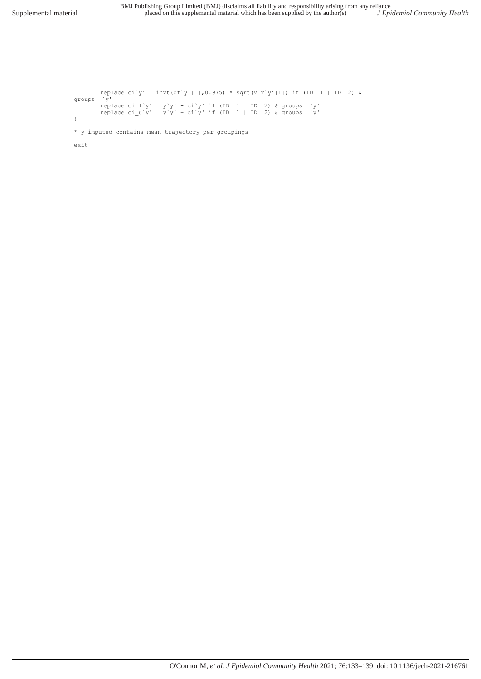$groups = 'y'$ 

}

exit

replace ci`y' = invt(df`y'[1],0.975) \* sqrt(V\_T`y'[1]) if (ID==1 | ID==2) &

O'Connor M*, et al. J Epidemiol Community Health* 2021; 76:133–139. doi: 10.1136/jech-2021-216761

replace ci\_l`y' = y`y' - ci`y' if (ID==1 | ID==2) & groups==`y'

```
replace ci_u`y' = y`y' + ci`y' if (ID==1 | ID==2) & groups==`y'
* y_imputed contains mean trajectory per groupings
```